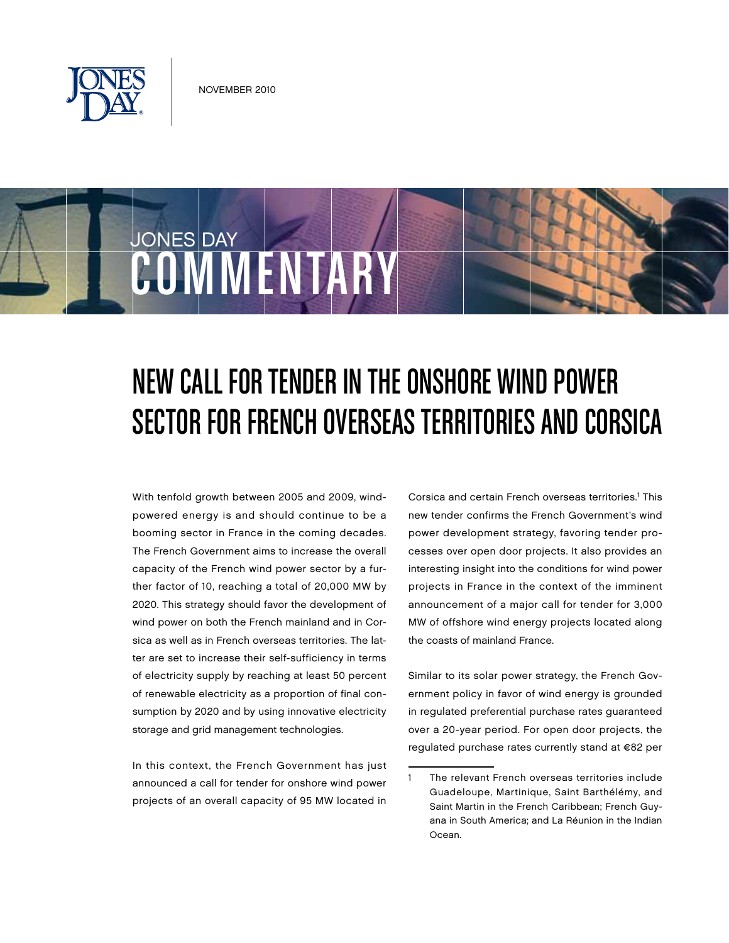

COMMENTARY

JONES DAY

# New Call for Tender inthe Onshore Wind Power SECTOR FOR FRENCH OVERSEAS TERRITORIES AND CORSICA

With tenfold growth between 2005 and 2009, windpowered energy is and should continue to be a booming sector in France in the coming decades. The French Government aims to increase the overall capacity of the French wind power sector by a further factor of 10, reaching a total of 20,000 MW by 2020. This strategy should favor the development of wind power on both the French mainland and in Corsica as well as in French overseas territories. The latter are set to increase their self-sufficiency in terms of electricity supply by reaching at least 50 percent of renewable electricity as a proportion of final consumption by 2020 and by using innovative electricity storage and grid management technologies.

In this context, the French Government has just announced a call for tender for onshore wind power projects of an overall capacity of 95 MW located in

Corsica and certain French overseas territories.<sup>1</sup> This new tender confirms the French Government's wind power development strategy, favoring tender processes over open door projects. It also provides an interesting insight into the conditions for wind power projects in France in the context of the imminent announcement of a major call for tender for 3,000 MW of offshore wind energy projects located along the coasts of mainland France.

Similar to its solar power strategy, the French Government policy in favor of wind energy is grounded in regulated preferential purchase rates guaranteed over a 20-year period. For open door projects, the regulated purchase rates currently stand at €82 per

The relevant French overseas territories include Guadeloupe, Martinique, Saint Barthélémy, and Saint Martin in the French Caribbean; French Guyana in South America; and La Réunion in the Indian Ocean.